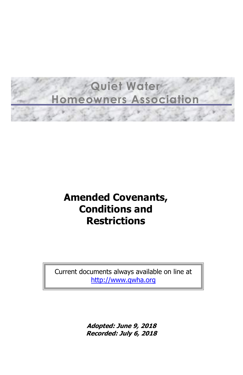# **Quiet Water Homeowners Association**

## **Amended Covenants, Conditions and Restrictions**

Current documents always available on line at [http://www.qwha.org](http://www.qwha.org/)

> **Adopted: June 9, 2018 Recorded: July 6, 2018**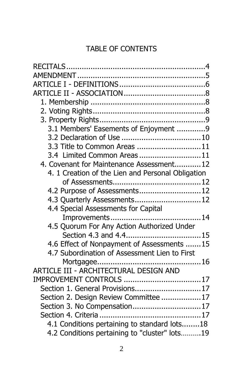## TABLE OF CONTENTS

| 3.1 Members' Easements of Enjoyment 9             |  |
|---------------------------------------------------|--|
|                                                   |  |
| 3.3 Title to Common Areas 11                      |  |
| 3.4 Limited Common Areas11                        |  |
| 4. Covenant for Maintenance Assessment12          |  |
| 4. 1 Creation of the Lien and Personal Obligation |  |
|                                                   |  |
| 4.2 Purpose of Assessments 12                     |  |
| 4.3 Quarterly Assessments 12                      |  |
| 4.4 Special Assessments for Capital               |  |
|                                                   |  |
| 4.5 Quorum For Any Action Authorized Under        |  |
|                                                   |  |
| 4.6 Effect of Nonpayment of Assessments 15        |  |
| 4.7 Subordination of Assessment Lien to First     |  |
|                                                   |  |
| ARTICLE III - ARCHITECTURAL DESIGN AND            |  |
| IMPROVEMENT CONTROLS 17                           |  |
| Section 1. General Provisions17                   |  |
| Section 2. Design Review Committee 17             |  |
| Section 3. No Compensation 17                     |  |
|                                                   |  |
| 4.1 Conditions pertaining to standard lots18      |  |
| 4.2 Conditions pertaining to "cluster" lots19     |  |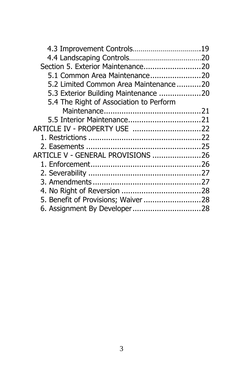| Section 5. Exterior Maintenance20       |  |
|-----------------------------------------|--|
| 5.1 Common Area Maintenance20           |  |
| 5.2 Limited Common Area Maintenance20   |  |
| 5.3 Exterior Building Maintenance 20    |  |
| 5.4 The Right of Association to Perform |  |
|                                         |  |
|                                         |  |
|                                         |  |
|                                         |  |
|                                         |  |
| ARTICLE V - GENERAL PROVISIONS 26       |  |
|                                         |  |
|                                         |  |
|                                         |  |
|                                         |  |
| 5. Benefit of Provisions; Waiver 28     |  |
| 6. Assignment By Developer28            |  |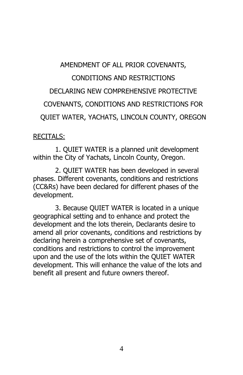## AMENDMENT OF ALL PRIOR COVENANTS, CONDITIONS AND RESTRICTIONS DECLARING NEW COMPREHENSIVE PROTECTIVE COVENANTS, CONDITIONS AND RESTRICTIONS FOR QUIET WATER, YACHATS, LINCOLN COUNTY, OREGON

#### <span id="page-3-0"></span>RECITALS:

1. QUIET WATER is a planned unit development within the City of Yachats, Lincoln County, Oregon.

2. QUIET WATER has been developed in several phases. Different covenants, conditions and restrictions (CC&Rs) have been declared for different phases of the development.

3. Because QUIET WATER is located in a unique geographical setting and to enhance and protect the development and the lots therein, Declarants desire to amend all prior covenants, conditions and restrictions by declaring herein a comprehensive set of covenants, conditions and restrictions to control the improvement upon and the use of the lots within the QUIET WATER development. This will enhance the value of the lots and benefit all present and future owners thereof.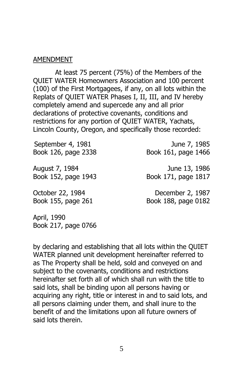#### <span id="page-4-0"></span>AMENDMENT

At least 75 percent (75%) of the Members of the QUIET WATER Homeowners Association and 100 percent (100) of the First Mortgagees, if any, on all lots within the Replats of QUIET WATER Phases I, II, III, and IV hereby completely amend and supercede any and all prior declarations of protective covenants, conditions and restrictions for any portion of QUIET WATER, Yachats, Lincoln County, Oregon, and specifically those recorded:

September 4, 1981 **June 7, 1985** Book 126, page 2338 Book 161, page 1466

August 7, 1984 **June 13, 1986** Book 152, page 1943 Book 171, page 1817

October 22, 1984 December 2, 1987 Book 155, page 261 Book 188, page 0182

April, 1990 Book 217, page 0766

by declaring and establishing that all lots within the QUIET WATER planned unit development hereinafter referred to as The Property shall be held, sold and conveyed on and subject to the covenants, conditions and restrictions hereinafter set forth all of which shall run with the title to said lots, shall be binding upon all persons having or acquiring any right, title or interest in and to said lots, and all persons claiming under them, and shall inure to the benefit of and the limitations upon all future owners of said lots therein.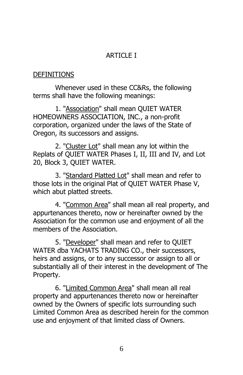## <span id="page-5-0"></span>ARTICLE I

#### **DEFINITIONS**

Whenever used in these CC&Rs, the following terms shall have the following meanings:

1. "Association" shall mean QUIET WATER HOMEOWNERS ASSOCIATION, INC., a non-profit corporation, organized under the laws of the State of Oregon, its successors and assigns.

2. "Cluster Lot" shall mean any lot within the Replats of QUIET WATER Phases I, II, III and IV, and Lot 20, Block 3, QUIET WATER.

3. "Standard Platted Lot" shall mean and refer to those lots in the original Plat of QUIET WATER Phase V, which abut platted streets.

4. "Common Area" shall mean all real property, and appurtenances thereto, now or hereinafter owned by the Association for the common use and enjoyment of all the members of the Association.

5. "Developer" shall mean and refer to QUIET WATER dba YACHATS TRADING CO., their successors, heirs and assigns, or to any successor or assign to all or substantially all of their interest in the development of The Property.

6. "Limited Common Area" shall mean all real property and appurtenances thereto now or hereinafter owned by the Owners of specific lots surrounding such Limited Common Area as described herein for the common use and enjoyment of that limited class of Owners.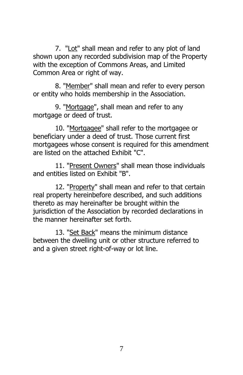7. "Lot" shall mean and refer to any plot of land shown upon any recorded subdivision map of the Property with the exception of Commons Areas, and Limited Common Area or right of way.

8. "Member" shall mean and refer to every person or entity who holds membership in the Association.

9. "Mortgage", shall mean and refer to any mortgage or deed of trust.

10. "Mortgagee" shall refer to the mortgagee or beneficiary under a deed of trust. Those current first mortgagees whose consent is required for this amendment are listed on the attached Exhibit "C".

11. "Present Owners" shall mean those individuals and entities listed on Exhibit "B".

12. "Property" shall mean and refer to that certain real property hereinbefore described, and such additions thereto as may hereinafter be brought within the jurisdiction of the Association by recorded declarations in the manner hereinafter set forth.

13. "Set Back" means the minimum distance between the dwelling unit or other structure referred to and a given street right-of-way or lot line.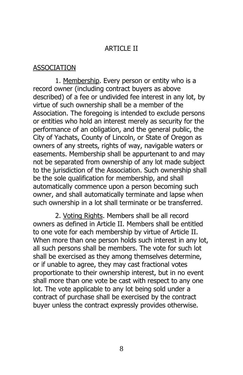#### <span id="page-7-1"></span><span id="page-7-0"></span>ARTICLE II

#### ASSOCIATION

1. Membership. Every person or entity who is a record owner (including contract buyers as above described) of a fee or undivided fee interest in any lot, by virtue of such ownership shall be a member of the Association. The foregoing is intended to exclude persons or entities who hold an interest merely as security for the performance of an obligation, and the general public, the City of Yachats, County of Lincoln, or State of Oregon as owners of any streets, rights of way, navigable waters or easements. Membership shall be appurtenant to and may not be separated from ownership of any lot made subject to the jurisdiction of the Association. Such ownership shall be the sole qualification for membership, and shall automatically commence upon a person becoming such owner, and shall automatically terminate and lapse when such ownership in a lot shall terminate or be transferred.

<span id="page-7-2"></span>2. Voting Rights. Members shall be all record owners as defined in Article II. Members shall be entitled to one vote for each membership by virtue of Article II. When more than one person holds such interest in any lot, all such persons shall be members. The vote for such lot shall be exercised as they among themselves determine, or if unable to agree, they may cast fractional votes proportionate to their ownership interest, but in no event shall more than one vote be cast with respect to any one lot. The vote applicable to any lot being sold under a contract of purchase shall be exercised by the contract buyer unless the contract expressly provides otherwise.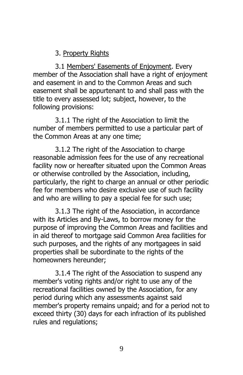## <span id="page-8-1"></span><span id="page-8-0"></span>3. Property Rights

3.1 Members' Easements of Enjoyment. Every member of the Association shall have a right of enjoyment and easement in and to the Common Areas and such easement shall be appurtenant to and shall pass with the title to every assessed lot; subject, however, to the following provisions:

3.1.1 The right of the Association to limit the number of members permitted to use a particular part of the Common Areas at any one time;

3.1.2 The right of the Association to charge reasonable admission fees for the use of any recreational facility now or hereafter situated upon the Common Areas or otherwise controlled by the Association, including, particularly, the right to charge an annual or other periodic fee for members who desire exclusive use of such facility and who are willing to pay a special fee for such use;

3.1.3 The right of the Association, in accordance with its Articles and By-Laws, to borrow money for the purpose of improving the Common Areas and facilities and in aid thereof to mortgage said Common Area facilities for such purposes, and the rights of any mortgagees in said properties shall be subordinate to the rights of the homeowners hereunder;

3.1.4 The right of the Association to suspend any member's voting rights and/or right to use any of the recreational facilities owned by the Association, for any period during which any assessments against said member's property remains unpaid; and for a period not to exceed thirty (30) days for each infraction of its published rules and regulations;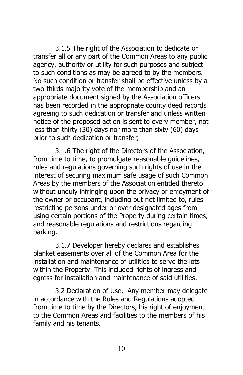3.1.5 The right of the Association to dedicate or transfer all or any part of the Common Areas to any public agency, authority or utility for such purposes and subject to such conditions as may be agreed to by the members. No such condition or transfer shall be effective unless by a two-thirds majority vote of the membership and an appropriate document signed by the Association officers has been recorded in the appropriate county deed records agreeing to such dedication or transfer and unless written notice of the proposed action is sent to every member, not less than thirty (30) days nor more than sixty (60) days prior to such dedication or transfer;

3.1.6 The right of the Directors of the Association, from time to time, to promulgate reasonable guidelines, rules and regulations governing such rights of use in the interest of securing maximum safe usage of such Common Areas by the members of the Association entitled thereto without unduly infringing upon the privacy or enjoyment of the owner or occupant, including but not limited to, rules restricting persons under or over designated ages from using certain portions of the Property during certain times, and reasonable regulations and restrictions regarding parking.

3.1.7 Developer hereby declares and establishes blanket easements over all of the Common Area for the installation and maintenance of utilities to serve the lots within the Property. This included rights of ingress and egress for installation and maintenance of said utilities.

<span id="page-9-0"></span>3.2 Declaration of Use. Any member may delegate in accordance with the Rules and Regulations adopted from time to time by the Directors, his right of enjoyment to the Common Areas and facilities to the members of his family and his tenants.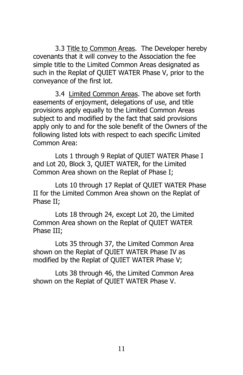<span id="page-10-0"></span>3.3 Title to Common Areas. The Developer hereby covenants that it will convey to the Association the fee simple title to the Limited Common Areas designated as such in the Replat of QUIET WATER Phase V, prior to the conveyance of the first lot.

<span id="page-10-1"></span>3.4 Limited Common Areas. The above set forth easements of enjoyment, delegations of use, and title provisions apply equally to the Limited Common Areas subject to and modified by the fact that said provisions apply only to and for the sole benefit of the Owners of the following listed lots with respect to each specific Limited Common Area:

Lots 1 through 9 Replat of QUIET WATER Phase I and Lot 20, Block 3, QUIET WATER, for the Limited Common Area shown on the Replat of Phase I;

Lots 10 through 17 Replat of QUIET WATER Phase II for the Limited Common Area shown on the Replat of Phase II;

Lots 18 through 24, except Lot 20, the Limited Common Area shown on the Replat of QUIET WATER Phase III;

Lots 35 through 37, the Limited Common Area shown on the Replat of QUIET WATER Phase IV as modified by the Replat of QUIET WATER Phase V;

Lots 38 through 46, the Limited Common Area shown on the Replat of QUIET WATER Phase V.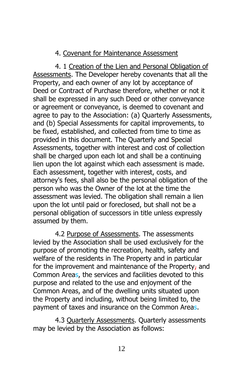## <span id="page-11-1"></span><span id="page-11-0"></span>4. Covenant for Maintenance Assessment

4. 1 Creation of the Lien and Personal Obligation of Assessments. The Developer hereby covenants that all the Property, and each owner of any lot by acceptance of Deed or Contract of Purchase therefore, whether or not it shall be expressed in any such Deed or other conveyance or agreement or conveyance, is deemed to covenant and agree to pay to the Association: (a) Quarterly Assessments, and (b) Special Assessments for capital improvements, to be fixed, established, and collected from time to time as provided in this document. The Quarterly and Special Assessments, together with interest and cost of collection shall be charged upon each lot and shall be a continuing lien upon the lot against which each assessment is made. Each assessment, together with interest, costs, and attorney's fees, shall also be the personal obligation of the person who was the Owner of the lot at the time the assessment was levied. The obligation shall remain a lien upon the lot until paid or foreclosed, but shall not be a personal obligation of successors in title unless expressly assumed by them.

<span id="page-11-2"></span>4.2 Purpose of Assessments. The assessments levied by the Association shall be used exclusively for the purpose of promoting the recreation, health, safety and welfare of the residents in The Property and in particular for the improvement and maintenance of the Property, and Common Areas, the services and facilities devoted to this purpose and related to the use and enjoyment of the Common Areas, and of the dwelling units situated upon the Property and including, without being limited to, the payment of taxes and insurance on the Common Areas.

<span id="page-11-3"></span>4.3 Quarterly Assessments. Quarterly assessments may be levied by the Association as follows: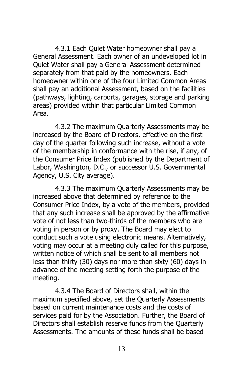4.3.1 Each Quiet Water homeowner shall pay a General Assessment. Each owner of an undeveloped lot in Quiet Water shall pay a General Assessment determined separately from that paid by the homeowners. Each homeowner within one of the four Limited Common Areas shall pay an additional Assessment, based on the facilities (pathways, lighting, carports, garages, storage and parking areas) provided within that particular Limited Common Area.

4.3.2 The maximum Quarterly Assessments may be increased by the Board of Directors, effective on the first day of the quarter following such increase, without a vote of the membership in conformance with the rise, if any, of the Consumer Price Index (published by the Department of Labor, Washington, D.C., or successor U.S. Governmental Agency, U.S. City average).

4.3.3 The maximum Quarterly Assessments may be increased above that determined by reference to the Consumer Price Index, by a vote of the members, provided that any such increase shall be approved by the affirmative vote of not less than two-thirds of the members who are voting in person or by proxy. The Board may elect to conduct such a vote using electronic means. Alternatively, voting may occur at a meeting duly called for this purpose, written notice of which shall be sent to all members not less than thirty (30) days nor more than sixty (60) days in advance of the meeting setting forth the purpose of the meeting.

4.3.4 The Board of Directors shall, within the maximum specified above, set the Quarterly Assessments based on current maintenance costs and the costs of services paid for by the Association. Further, the Board of Directors shall establish reserve funds from the Quarterly Assessments. The amounts of these funds shall be based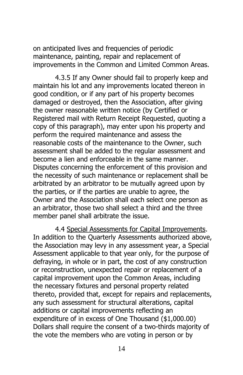on anticipated lives and frequencies of periodic maintenance, painting, repair and replacement of improvements in the Common and Limited Common Areas.

4.3.5 If any Owner should fail to properly keep and maintain his lot and any improvements located thereon in good condition, or if any part of his property becomes damaged or destroyed, then the Association, after giving the owner reasonable written notice (by Certified or Registered mail with Return Receipt Requested, quoting a copy of this paragraph), may enter upon his property and perform the required maintenance and assess the reasonable costs of the maintenance to the Owner, such assessment shall be added to the regular assessment and become a lien and enforceable in the same manner. Disputes concerning the enforcement of this provision and the necessity of such maintenance or replacement shall be arbitrated by an arbitrator to be mutually agreed upon by the parties, or if the parties are unable to agree, the Owner and the Association shall each select one person as an arbitrator, those two shall select a third and the three member panel shall arbitrate the issue.

<span id="page-13-0"></span>4.4 Special Assessments for Capital Improvements. In addition to the Quarterly Assessments authorized above, the Association may levy in any assessment year, a Special Assessment applicable to that year only, for the purpose of defraying, in whole or in part, the cost of any construction or reconstruction, unexpected repair or replacement of a capital improvement upon the Common Areas, including the necessary fixtures and personal property related thereto, provided that, except for repairs and replacements, any such assessment for structural alterations, capital additions or capital improvements reflecting an expenditure of in excess of One Thousand (\$1,000.00) Dollars shall require the consent of a two-thirds majority of the vote the members who are voting in person or by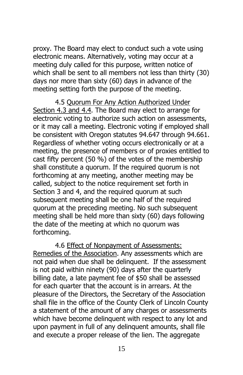proxy. The Board may elect to conduct such a vote using electronic means. Alternatively, voting may occur at a meeting duly called for this purpose, written notice of which shall be sent to all members not less than thirty (30) days nor more than sixty (60) days in advance of the meeting setting forth the purpose of the meeting.

<span id="page-14-0"></span>4.5 Quorum For Any Action Authorized Under Section 4.3 and 4.4. The Board may elect to arrange for electronic voting to authorize such action on assessments, or it may call a meeting. Electronic voting if employed shall be consistent with Oregon statutes 94.647 through 94.661. Regardless of whether voting occurs electronically or at a meeting, the presence of members or of proxies entitled to cast fifty percent (50 %) of the votes of the membership shall constitute a quorum. If the required quorum is not forthcoming at any meeting, another meeting may be called, subject to the notice requirement set forth in Section 3 and 4, and the required quorum at such subsequent meeting shall be one half of the required quorum at the preceding meeting. No such subsequent meeting shall be held more than sixty (60) days following the date of the meeting at which no quorum was forthcoming.

<span id="page-14-1"></span>4.6 Effect of Nonpayment of Assessments: Remedies of the Association. Any assessments which are not paid when due shall be delinquent. If the assessment is not paid within ninety (90) days after the quarterly billing date, a late payment fee of \$50 shall be assessed for each quarter that the account is in arrears. At the pleasure of the Directors, the Secretary of the Association shall file in the office of the County Clerk of Lincoln County a statement of the amount of any charges or assessments which have become delinquent with respect to any lot and upon payment in full of any delinquent amounts, shall file and execute a proper release of the lien. The aggregate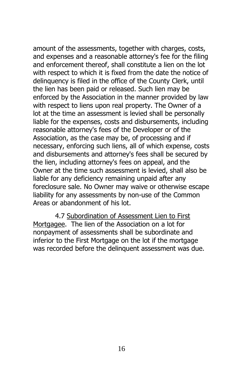amount of the assessments, together with charges, costs, and expenses and a reasonable attorney's fee for the filing and enforcement thereof, shall constitute a lien on the lot with respect to which it is fixed from the date the notice of delinquency is filed in the office of the County Clerk, until the lien has been paid or released. Such lien may be enforced by the Association in the manner provided by law with respect to liens upon real property. The Owner of a lot at the time an assessment is levied shall be personally liable for the expenses, costs and disbursements, including reasonable attorney's fees of the Developer or of the Association, as the case may be, of processing and if necessary, enforcing such liens, all of which expense, costs and disbursements and attorney's fees shall be secured by the lien, including attorney's fees on appeal, and the Owner at the time such assessment is levied, shall also be liable for any deficiency remaining unpaid after any foreclosure sale. No Owner may waive or otherwise escape liability for any assessments by non-use of the Common Areas or abandonment of his lot.

<span id="page-15-0"></span>4.7 Subordination of Assessment Lien to First Mortgagee. The lien of the Association on a lot for nonpayment of assessments shall be subordinate and inferior to the First Mortgage on the lot if the mortgage was recorded before the delinquent assessment was due.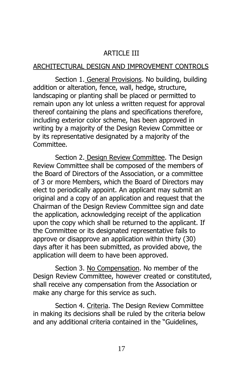## <span id="page-16-2"></span><span id="page-16-1"></span><span id="page-16-0"></span>ARTICLE III

#### ARCHITECTURAL DESIGN AND IMPROVEMENT CONTROLS

Section 1. General Provisions. No building, building addition or alteration, fence, wall, hedge, structure, landscaping or planting shall be placed or permitted to remain upon any lot unless a written request for approval thereof containing the plans and specifications therefore, including exterior color scheme, has been approved in writing by a majority of the Design Review Committee or by its representative designated by a majority of the Committee.

Section 2. Design Review Committee. The Design Review Committee shall be composed of the members of the Board of Directors of the Association, or a committee of 3 or more Members, which the Board of Directors may elect to periodically appoint. An applicant may submit an original and a copy of an application and request that the Chairman of the Design Review Committee sign and date the application, acknowledging receipt of the application upon the copy which shall be returned to the applicant. If the Committee or its designated representative fails to approve or disapprove an application within thirty (30) days after it has been submitted, as provided above, the application will deem to have been approved.

<span id="page-16-3"></span>Section 3. No Compensation. No member of the Design Review Committee, however created or constituted, shall receive any compensation from the Association or make any charge for this service as such.

<span id="page-16-4"></span>Section 4. Criteria. The Design Review Committee in making its decisions shall be ruled by the criteria below and any additional criteria contained in the "Guidelines,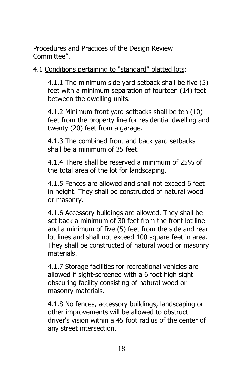Procedures and Practices of the Design Review Committee".

4.1 Conditions pertaining to "standard" platted lots:

4.1.1 The minimum side yard setback shall be five (5) feet with a minimum separation of fourteen (14) feet between the dwelling units.

4.1.2 Minimum front yard setbacks shall be ten (10) feet from the property line for residential dwelling and twenty (20) feet from a garage.

4.1.3 The combined front and back yard setbacks shall be a minimum of 35 feet.

4.1.4 There shall be reserved a minimum of 25% of the total area of the lot for landscaping.

4.1.5 Fences are allowed and shall not exceed 6 feet in height. They shall be constructed of natural wood or masonry.

4.1.6 Accessory buildings are allowed. They shall be set back a minimum of 30 feet from the front lot line and a minimum of five (5) feet from the side and rear lot lines and shall not exceed 100 square feet in area. They shall be constructed of natural wood or masonry materials.

4.1.7 Storage facilities for recreational vehicles are allowed if sight-screened with a 6 foot high sight obscuring facility consisting of natural wood or masonry materials.

4.1.8 No fences, accessory buildings, landscaping or other improvements will be allowed to obstruct driver's vision within a 45 foot radius of the center of any street intersection.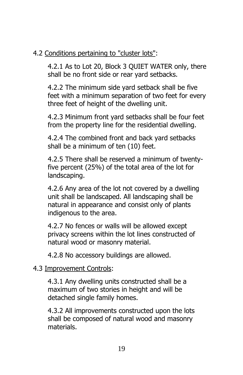## 4.2 Conditions pertaining to "cluster lots":

4.2.1 As to Lot 20, Block 3 QUIET WATER only, there shall be no front side or rear yard setbacks.

4.2.2 The minimum side yard setback shall be five feet with a minimum separation of two feet for every three feet of height of the dwelling unit.

4.2.3 Minimum front yard setbacks shall be four feet from the property line for the residential dwelling.

4.2.4 The combined front and back yard setbacks shall be a minimum of ten (10) feet.

4.2.5 There shall be reserved a minimum of twentyfive percent (25%) of the total area of the lot for landscaping.

4.2.6 Any area of the lot not covered by a dwelling unit shall be landscaped. All landscaping shall be natural in appearance and consist only of plants indigenous to the area.

4.2.7 No fences or walls will be allowed except privacy screens within the lot lines constructed of natural wood or masonry material.

4.2.8 No accessory buildings are allowed.

## 4.3 Improvement Controls:

4.3.1 Any dwelling units constructed shall be a maximum of two stories in height and will be detached single family homes.

4.3.2 All improvements constructed upon the lots shall be composed of natural wood and masonry materials.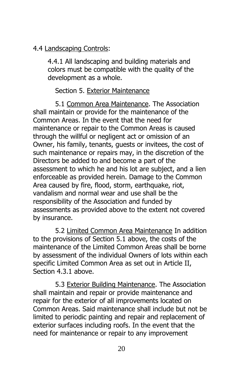## 4.4 Landscaping Controls:

4.4.1 All landscaping and building materials and colors must be compatible with the quality of the development as a whole.

## <span id="page-19-1"></span><span id="page-19-0"></span>Section 5. Exterior Maintenance

5.1 Common Area Maintenance. The Association shall maintain or provide for the maintenance of the Common Areas. In the event that the need for maintenance or repair to the Common Areas is caused through the willful or negligent act or omission of an Owner, his family, tenants, guests or invitees, the cost of such maintenance or repairs may, in the discretion of the Directors be added to and become a part of the assessment to which he and his lot are subject, and a lien enforceable as provided herein. Damage to the Common Area caused by fire, flood, storm, earthquake, riot, vandalism and normal wear and use shall be the responsibility of the Association and funded by assessments as provided above to the extent not covered by insurance.

<span id="page-19-2"></span>5.2 Limited Common Area Maintenance In addition to the provisions of Section 5.1 above, the costs of the maintenance of the Limited Common Areas shall be borne by assessment of the individual Owners of lots within each specific Limited Common Area as set out in Article II, Section 4.3.1 above.

<span id="page-19-3"></span>5.3 Exterior Building Maintenance. The Association shall maintain and repair or provide maintenance and repair for the exterior of all improvements located on Common Areas. Said maintenance shall include but not be limited to periodic painting and repair and replacement of exterior surfaces including roofs. In the event that the need for maintenance or repair to any improvement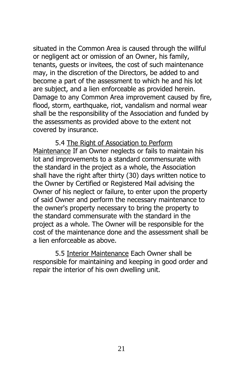situated in the Common Area is caused through the willful or negligent act or omission of an Owner, his family, tenants, guests or invitees, the cost of such maintenance may, in the discretion of the Directors, be added to and become a part of the assessment to which he and his lot are subject, and a lien enforceable as provided herein. Damage to any Common Area improvement caused by fire, flood, storm, earthquake, riot, vandalism and normal wear shall be the responsibility of the Association and funded by the assessments as provided above to the extent not covered by insurance.

<span id="page-20-0"></span>5.4 The Right of Association to Perform Maintenance If an Owner neglects or fails to maintain his lot and improvements to a standard commensurate with the standard in the project as a whole, the Association shall have the right after thirty (30) days written notice to the Owner by Certified or Registered Mail advising the Owner of his neglect or failure, to enter upon the property of said Owner and perform the necessary maintenance to the owner's property necessary to bring the property to the standard commensurate with the standard in the project as a whole. The Owner will be responsible for the cost of the maintenance done and the assessment shall be a lien enforceable as above.

<span id="page-20-1"></span>5.5 Interior Maintenance Each Owner shall be responsible for maintaining and keeping in good order and repair the interior of his own dwelling unit.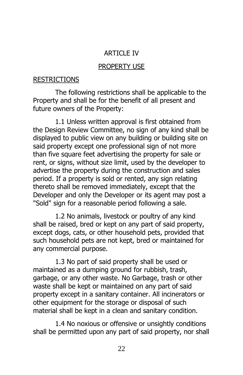## ARTICLE IV

#### <span id="page-21-1"></span>PROPERTY USE

#### <span id="page-21-0"></span>RESTRICTIONS

The following restrictions shall be applicable to the Property and shall be for the benefit of all present and future owners of the Property:

1.1 Unless written approval is first obtained from the Design Review Committee, no sign of any kind shall be displayed to public view on any building or building site on said property except one professional sign of not more than five square feet advertising the property for sale or rent, or signs, without size limit, used by the developer to advertise the property during the construction and sales period. If a property is sold or rented, any sign relating thereto shall be removed immediately, except that the Developer and only the Developer or its agent may post a "Sold" sign for a reasonable period following a sale.

1.2 No animals, livestock or poultry of any kind shall be raised, bred or kept on any part of said property, except dogs, cats, or other household pets, provided that such household pets are not kept, bred or maintained for any commercial purpose.

1.3 No part of said property shall be used or maintained as a dumping ground for rubbish, trash, garbage, or any other waste. No Garbage, trash or other waste shall be kept or maintained on any part of said property except in a sanitary container. All incinerators or other equipment for the storage or disposal of such material shall be kept in a clean and sanitary condition.

1.4 No noxious or offensive or unsightly conditions shall be permitted upon any part of said property, nor shall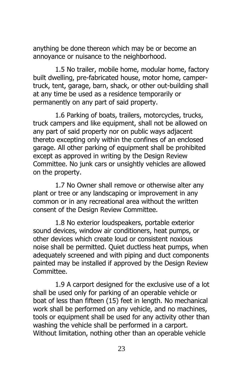anything be done thereon which may be or become an annoyance or nuisance to the neighborhood.

1.5 No trailer, mobile home, modular home, factory built dwelling, pre-fabricated house, motor home, campertruck, tent, garage, barn, shack, or other out-building shall at any time be used as a residence temporarily or permanently on any part of said property.

1.6 Parking of boats, trailers, motorcycles, trucks, truck campers and like equipment, shall not be allowed on any part of said property nor on public ways adjacent thereto excepting only within the confines of an enclosed garage. All other parking of equipment shall be prohibited except as approved in writing by the Design Review Committee. No junk cars or unsightly vehicles are allowed on the property.

1.7 No Owner shall remove or otherwise alter any plant or tree or any landscaping or improvement in any common or in any recreational area without the written consent of the Design Review Committee.

1.8 No exterior loudspeakers, portable exterior sound devices, window air conditioners, heat pumps, or other devices which create loud or consistent noxious noise shall be permitted. Quiet ductless heat pumps, when adequately screened and with piping and duct components painted may be installed if approved by the Design Review Committee.

1.9 A carport designed for the exclusive use of a lot shall be used only for parking of an operable vehicle or boat of less than fifteen (15) feet in length. No mechanical work shall be performed on any vehicle, and no machines, tools or equipment shall be used for any activity other than washing the vehicle shall be performed in a carport. Without limitation, nothing other than an operable vehicle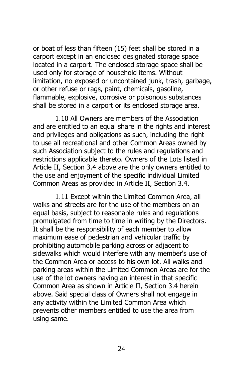or boat of less than fifteen (15) feet shall be stored in a carport except in an enclosed designated storage space located in a carport. The enclosed storage space shall be used only for storage of household items. Without limitation, no exposed or uncontained junk, trash, garbage, or other refuse or rags, paint, chemicals, gasoline, flammable, explosive, corrosive or poisonous substances shall be stored in a carport or its enclosed storage area.

1.10 All Owners are members of the Association and are entitled to an equal share in the rights and interest and privileges and obligations as such, including the right to use all recreational and other Common Areas owned by such Association subject to the rules and regulations and restrictions applicable thereto. Owners of the Lots listed in Article II, Section 3.4 above are the only owners entitled to the use and enjoyment of the specific individual Limited Common Areas as provided in Article II, Section 3.4.

1.11 Except within the Limited Common Area, all walks and streets are for the use of the members on an equal basis, subject to reasonable rules and regulations promulgated from time to time in writing by the Directors. It shall be the responsibility of each member to allow maximum ease of pedestrian and vehicular traffic by prohibiting automobile parking across or adjacent to sidewalks which would interfere with any member's use of the Common Area or access to his own lot. All walks and parking areas within the Limited Common Areas are for the use of the lot owners having an interest in that specific Common Area as shown in Article II, Section 3.4 herein above. Said special class of Owners shall not engage in any activity within the Limited Common Area which prevents other members entitled to use the area from using same.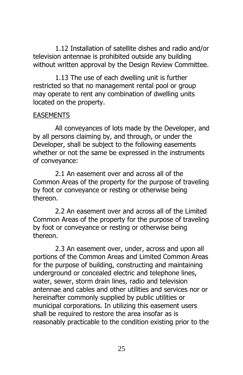1.12 Installation of satellite dishes and radio and/or television antennae is prohibited outside any building without written approval by the Design Review Committee.

1.13 The use of each dwelling unit is further restricted so that no management rental pool or group may operate to rent any combination of dwelling units located on the property.

#### <span id="page-24-0"></span>EASEMENTS

All conveyances of lots made by the Developer, and by all persons claiming by, and through, or under the Developer, shall be subject to the following easements whether or not the same be expressed in the instruments of conveyance:

2.1 An easement over and across all of the Common Areas of the property for the purpose of traveling by foot or conveyance or resting or otherwise being thereon.

2.2 An easement over and across all of the Limited Common Areas of the property for the purpose of traveling by foot or conveyance or resting or otherwise being thereon.

2.3 An easement over, under, across and upon all portions of the Common Areas and Limited Common Areas for the purpose of building, constructing and maintaining underground or concealed electric and telephone lines, water, sewer, storm drain lines, radio and television antennae and cables and other utilities and services nor or hereinafter commonly supplied by public utilities or municipal corporations. In utilizing this easement users shall be required to restore the area insofar as is reasonably practicable to the condition existing prior to the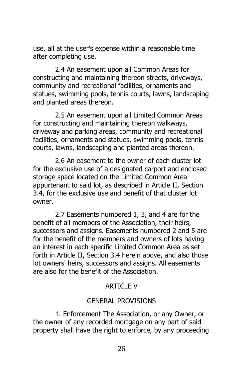use, all at the user's expense within a reasonable time after completing use.

2.4 An easement upon all Common Areas for constructing and maintaining thereon streets, driveways, community and recreational facilities, ornaments and statues, swimming pools, tennis courts, lawns, landscaping and planted areas thereon.

2.5 An easement upon all Limited Common Areas for constructing and maintaining thereon walkways, driveway and parking areas, community and recreational facilities, ornaments and statues, swimming pools, tennis courts, lawns, landscaping and planted areas thereon.

2.6 An easement to the owner of each cluster lot for the exclusive use of a designated carport and enclosed storage space located on the Limited Common Area appurtenant to said lot, as described in Article II, Section 3.4, for the exclusive use and benefit of that cluster lot owner.

2.7 Easements numbered 1, 3, and 4 are for the benefit of all members of the Association, their heirs, successors and assigns. Easements numbered 2 and 5 are for the benefit of the members and owners of lots having an interest in each specific Limited Common Area as set forth in Article II, Section 3.4 herein above, and also those lot owners' heirs, successors and assigns. All easements are also for the benefit of the Association.

#### <span id="page-25-0"></span>ARTICLE V

#### <span id="page-25-1"></span>GENERAL PROVISIONS

1. Enforcement The Association, or any Owner, or the owner of any recorded mortgage on any part of said property shall have the right to enforce, by any proceeding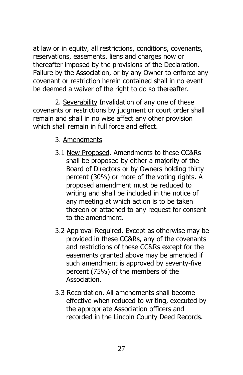at law or in equity, all restrictions, conditions, covenants, reservations, easements, liens and charges now or thereafter imposed by the provisions of the Declaration. Failure by the Association, or by any Owner to enforce any covenant or restriction herein contained shall in no event be deemed a waiver of the right to do so thereafter.

2. Severability Invalidation of any one of these covenants or restrictions by judgment or court order shall remain and shall in no wise affect any other provision which shall remain in full force and effect.

- <span id="page-26-1"></span><span id="page-26-0"></span>3. Amendments
- 3.1 New Proposed. Amendments to these CC&Rs shall be proposed by either a majority of the Board of Directors or by Owners holding thirty percent (30%) or more of the voting rights. A proposed amendment must be reduced to writing and shall be included in the notice of any meeting at which action is to be taken thereon or attached to any request for consent to the amendment.
- 3.2 Approval Required. Except as otherwise may be provided in these CC&Rs, any of the covenants and restrictions of these CC&Rs except for the easements granted above may be amended if such amendment is approved by seventy-five percent (75%) of the members of the Association.
- 3.3 Recordation. All amendments shall become effective when reduced to writing, executed by the appropriate Association officers and recorded in the Lincoln County Deed Records.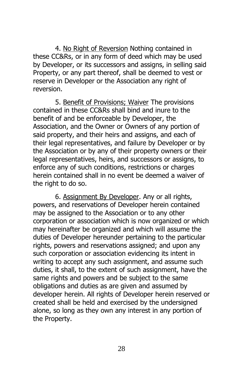<span id="page-27-0"></span>4. No Right of Reversion Nothing contained in these CC&Rs, or in any form of deed which may be used by Developer, or its successors and assigns, in selling said Property, or any part thereof, shall be deemed to vest or reserve in Developer or the Association any right of reversion.

<span id="page-27-1"></span>5. Benefit of Provisions; Waiver The provisions contained in these CC&Rs shall bind and inure to the benefit of and be enforceable by Developer, the Association, and the Owner or Owners of any portion of said property, and their heirs and assigns, and each of their legal representatives, and failure by Developer or by the Association or by any of their property owners or their legal representatives, heirs, and successors or assigns, to enforce any of such conditions, restrictions or charges herein contained shall in no event be deemed a waiver of the right to do so.

<span id="page-27-2"></span>6. Assignment By Developer. Any or all rights, powers, and reservations of Developer herein contained may be assigned to the Association or to any other corporation or association which is now organized or which may hereinafter be organized and which will assume the duties of Developer hereunder pertaining to the particular rights, powers and reservations assigned; and upon any such corporation or association evidencing its intent in writing to accept any such assignment, and assume such duties, it shall, to the extent of such assignment, have the same rights and powers and be subject to the same obligations and duties as are given and assumed by developer herein. All rights of Developer herein reserved or created shall be held and exercised by the undersigned alone, so long as they own any interest in any portion of the Property.